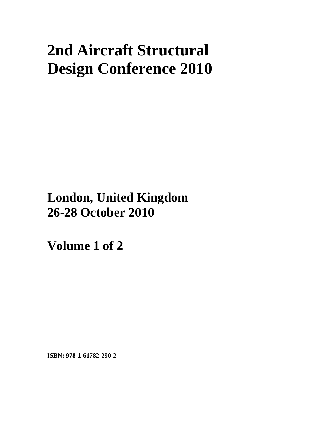# **2nd Aircraft Structural Design Conference 2010**

**London, United Kingdom 26-28 October 2010**

**Volume 1 of 2** 

**ISBN: 978-1-61782-290-2**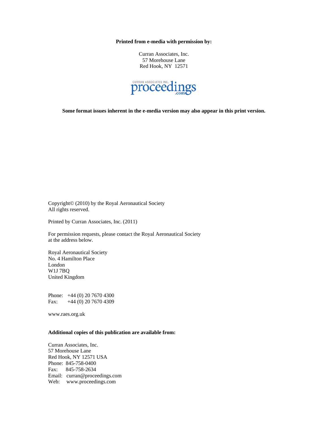**Printed from e-media with permission by:** 

Curran Associates, Inc. 57 Morehouse Lane Red Hook, NY 12571



**Some format issues inherent in the e-media version may also appear in this print version.** 

Copyright© (2010) by the Royal Aeronautical Society All rights reserved.

Printed by Curran Associates, Inc. (2011)

For permission requests, please contact the Royal Aeronautical Society at the address below.

Royal Aeronautical Society No. 4 Hamilton Place London W1J 7BQ United Kingdom

Phone: +44 (0) 20 7670 4300 Fax: +44 (0) 20 7670 4309

www.raes.org.uk

#### **Additional copies of this publication are available from:**

Curran Associates, Inc. 57 Morehouse Lane Red Hook, NY 12571 USA Phone: 845-758-0400 Fax: 845-758-2634 Email: curran@proceedings.com Web: www.proceedings.com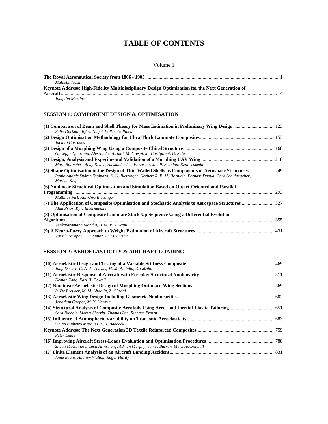## **TABLE OF CONTENTS**

#### Volume 1

| Malcolm Nash                                                                                    |  |
|-------------------------------------------------------------------------------------------------|--|
| Keynote Address: High-Fidelity Multidisciplinary Design Optimization for the Next Generation of |  |
|                                                                                                 |  |
| Joaquim Martins                                                                                 |  |

#### **SESSION 1: COMPONENT DESIGN & OPTIMISATION**

| Felix Dorbath, Björn Nagel, Volker Gollnick                                                                                |  |
|----------------------------------------------------------------------------------------------------------------------------|--|
| Jacinto Carrasco                                                                                                           |  |
| Giuseppe Quaranta, Alessandro Airoldi, M. Crespi, M. Castiglioni, G. Sala                                                  |  |
| Marc Bolinches, Andy Keane, Alexander I. J. Forrester, Jim P. Scanlan, Kenji Takeda                                        |  |
| Pablo Andrés Suárez Espinoza, K. U. Bletzinger, Herbert R. E. M. Hörnlein, Fernass Daoud, Gerd Schuhmacher,<br>Markus Klug |  |
| (6) Nonlinear Structural Optimisation and Simulation Based on Object-Oriented and Parallel                                 |  |
|                                                                                                                            |  |
| Matthias Firl, Kai-Uwe Bletzinger                                                                                          |  |
| Alan Prior, Kyle Indermuehle                                                                                               |  |
| (8) Optimisation of Composite Laminate Stack-Up Sequence Using a Differential Evolution                                    |  |
|                                                                                                                            |  |
| Venkataramana Mantha, B. M. V. A. Raju                                                                                     |  |
| Vassili Toropov, C. Hannon, O. M. Querin                                                                                   |  |

#### **SESSION 2: AEROELASTICITY & AIRCRAFT LOADING**

| Jaap Dekker, G. A. A. Thuwis, M. M. Abdalla, Z. Gürdal                         |  |
|--------------------------------------------------------------------------------|--|
| Deman Tang, Earl H. Dowell                                                     |  |
| R. De Breuker, M. M. Abdalla, Z. Gürdal                                        |  |
| Jonathan Cooper, M.Y. Harmin                                                   |  |
| Sara Nichols, Liamm Skerritt, Thomas Bee, Richard Brown                        |  |
| Simão Pinheiro Marques, K. J. Badcock                                          |  |
| Peter Linde                                                                    |  |
| Shaun McGuiness, Cecil Armstrong, Adrian Murphy, James Barron, Mark Hockenhull |  |
| Anne Evans, Andrew Walton, Roger Hardy                                         |  |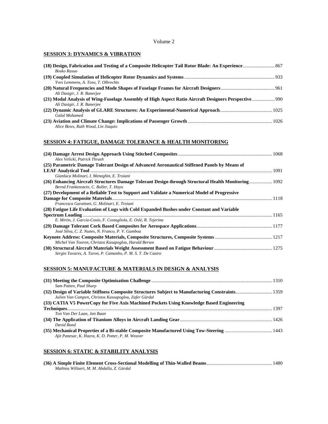#### Volume 2

#### **SESSION 3: DYNAMICS & VIBRATION**

| Bosko Rasuo                         |  |
|-------------------------------------|--|
|                                     |  |
| Yves Lemmens, A. Toso, T. Olbrechts |  |
| Ali Dastgir, J. R. Banerjee         |  |
| Ali Dastgir, J. R. Banerjee         |  |
| Galal Mohamed                       |  |
| Alice Bows, Ruth Wood, Lin Jiagaio  |  |

#### **SESSION 4: FATIGUE, DAMAGE TOLERANCE & HEALTH MONITORING**

| Alex Velicki, Patrick Thrash                                                                                                                  |  |
|-----------------------------------------------------------------------------------------------------------------------------------------------|--|
| (25) Parametric Damage Tolerant Design of Advanced Aeronautical Stiffened Panels by Means of                                                  |  |
|                                                                                                                                               |  |
| Gianluca Molinari, I. Meneghin, E. Troiani                                                                                                    |  |
| (26) Enhancing Aircraft Structures Damage Tolerant Design through Structural Health Monitoring 1092<br>Bernd Frankenstein, C. Boller, T. Hayo |  |
| (27) Development of a Reliable Test to Support and Validate a Numerical Model of Progressive                                                  |  |
| Francesca Garattoni, G. Molinari, E. Troiani                                                                                                  |  |
| (28) Fatigue Life Evaluation of Lugs with Cold Expanded Bushes under Constant and Variable                                                    |  |
|                                                                                                                                               |  |
| E. Mirón, J. García-Cosío, F. Costagliola, E. Oslé, R. Tejerina                                                                               |  |
| José Silva, C. Z. Nunes, N. Franco, P. V. Gamboa                                                                                              |  |
| Michel Van Tooren, Christos Kasapoglou, Harald Bersee                                                                                         |  |
| Sergio Tavares, A. Turon, P. Camanho, P. M. S. T. De Castro                                                                                   |  |

#### **SESSION 5: MANUFACTURE & MATERIALS IN DESIGN & ANALYSIS**

| Sam Patten, Paul Sharp                                                                   |  |
|------------------------------------------------------------------------------------------|--|
|                                                                                          |  |
| Julien Van Campen, Christos Kassapoglou, Zafer Gürdal                                    |  |
| (33) CATIA V5 PowerCopy for Five Axis Machined Pockets Using Knowledge Based Engineering |  |
|                                                                                          |  |
| Ton Van Der Laan, Jan Baan                                                               |  |
|                                                                                          |  |
| David Bond                                                                               |  |
|                                                                                          |  |
| Ajit Panesar, K. Hazra, K. D. Potter, P. M. Weaver                                       |  |

#### **SESSION 6: STATIC & STABILITY ANALYSIS**

| Mathieu Willaert, M. M. Abdalla, Z. Gürdal |  |
|--------------------------------------------|--|